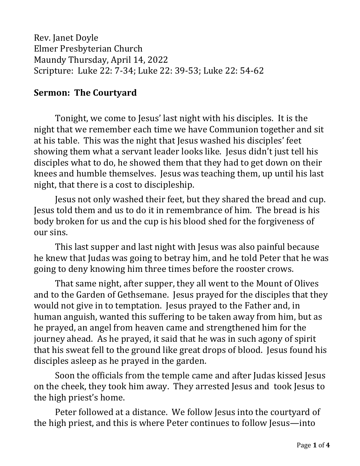Rev. Janet Doyle Elmer Presbyterian Church Maundy Thursday, April 14, 2022 Scripture: Luke 22: 7-34; Luke 22: 39-53; Luke 22: 54-62

## **Sermon: The Courtyard**

Tonight, we come to Jesus' last night with his disciples. It is the night that we remember each time we have Communion together and sit at his table. This was the night that Jesus washed his disciples' feet showing them what a servant leader looks like. Jesus didn't just tell his disciples what to do, he showed them that they had to get down on their knees and humble themselves. Jesus was teaching them, up until his last night, that there is a cost to discipleship.

Jesus not only washed their feet, but they shared the bread and cup. Jesus told them and us to do it in remembrance of him. The bread is his body broken for us and the cup is his blood shed for the forgiveness of our sins.

This last supper and last night with Jesus was also painful because he knew that Judas was going to betray him, and he told Peter that he was going to deny knowing him three times before the rooster crows.

That same night, after supper, they all went to the Mount of Olives and to the Garden of Gethsemane. Jesus prayed for the disciples that they would not give in to temptation. Jesus prayed to the Father and, in human anguish, wanted this suffering to be taken away from him, but as he prayed, an angel from heaven came and strengthened him for the journey ahead. As he prayed, it said that he was in such agony of spirit that his sweat fell to the ground like great drops of blood. Jesus found his disciples asleep as he prayed in the garden.

Soon the officials from the temple came and after Judas kissed Jesus on the cheek, they took him away. They arrested Jesus and took Jesus to the high priest's home.

Peter followed at a distance. We follow Jesus into the courtyard of the high priest, and this is where Peter continues to follow Jesus—into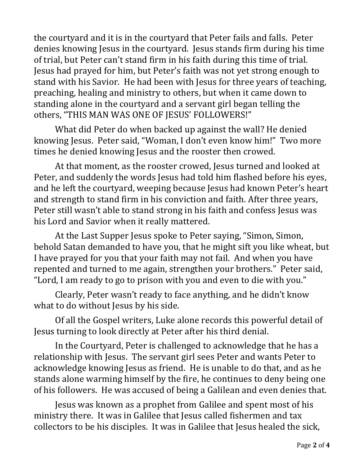the courtyard and it is in the courtyard that Peter fails and falls. Peter denies knowing Jesus in the courtyard. Jesus stands firm during his time of trial, but Peter can't stand firm in his faith during this time of trial. Jesus had prayed for him, but Peter's faith was not yet strong enough to stand with his Savior. He had been with Jesus for three years of teaching, preaching, healing and ministry to others, but when it came down to standing alone in the courtyard and a servant girl began telling the others, "THIS MAN WAS ONE OF JESUS' FOLLOWERS!"

What did Peter do when backed up against the wall? He denied knowing Jesus. Peter said, "Woman, I don't even know him!" Two more times he denied knowing Jesus and the rooster then crowed.

At that moment, as the rooster crowed, Jesus turned and looked at Peter, and suddenly the words Jesus had told him flashed before his eyes, and he left the courtyard, weeping because Jesus had known Peter's heart and strength to stand firm in his conviction and faith. After three years, Peter still wasn't able to stand strong in his faith and confess Jesus was his Lord and Savior when it really mattered.

At the Last Supper Jesus spoke to Peter saying, "Simon, Simon, behold Satan demanded to have you, that he might sift you like wheat, but I have prayed for you that your faith may not fail. And when you have repented and turned to me again, strengthen your brothers." Peter said, "Lord, I am ready to go to prison with you and even to die with you."

Clearly, Peter wasn't ready to face anything, and he didn't know what to do without Jesus by his side.

Of all the Gospel writers, Luke alone records this powerful detail of Jesus turning to look directly at Peter after his third denial.

In the Courtyard, Peter is challenged to acknowledge that he has a relationship with Jesus. The servant girl sees Peter and wants Peter to acknowledge knowing Jesus as friend. He is unable to do that, and as he stands alone warming himself by the fire, he continues to deny being one of his followers. He was accused of being a Galilean and even denies that.

Jesus was known as a prophet from Galilee and spent most of his ministry there. It was in Galilee that Jesus called fishermen and tax collectors to be his disciples. It was in Galilee that Jesus healed the sick,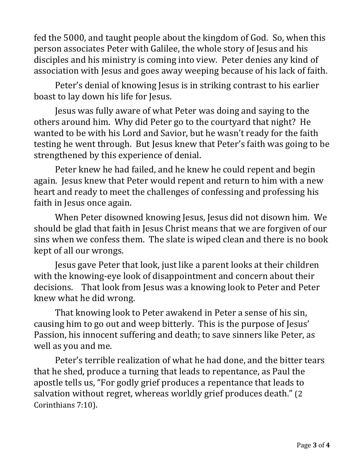fed the 5000, and taught people about the kingdom of God. So, when this person associates Peter with Galilee, the whole story of Jesus and his disciples and his ministry is coming into view. Peter denies any kind of association with Jesus and goes away weeping because of his lack of faith.

Peter's denial of knowing Jesus is in striking contrast to his earlier boast to lay down his life for Jesus.

Jesus was fully aware of what Peter was doing and saying to the others around him. Why did Peter go to the courtyard that night? He wanted to be with his Lord and Savior, but he wasn't ready for the faith testing he went through. But Jesus knew that Peter's faith was going to be strengthened by this experience of denial.

Peter knew he had failed, and he knew he could repent and begin again. Jesus knew that Peter would repent and return to him with a new heart and ready to meet the challenges of confessing and professing his faith in Jesus once again.

When Peter disowned knowing Jesus, Jesus did not disown him. We should be glad that faith in Jesus Christ means that we are forgiven of our sins when we confess them. The slate is wiped clean and there is no book kept of all our wrongs.

Jesus gave Peter that look, just like a parent looks at their children with the knowing-eye look of disappointment and concern about their decisions. That look from Jesus was a knowing look to Peter and Peter knew what he did wrong.

That knowing look to Peter awakend in Peter a sense of his sin, causing him to go out and weep bitterly. This is the purpose of Jesus' Passion, his innocent suffering and death; to save sinners like Peter, as well as you and me.

Peter's terrible realization of what he had done, and the bitter tears that he shed, produce a turning that leads to repentance, as Paul the apostle tells us, "For godly grief produces a repentance that leads to salvation without regret, whereas worldly grief produces death." (2 Corinthians 7:10).